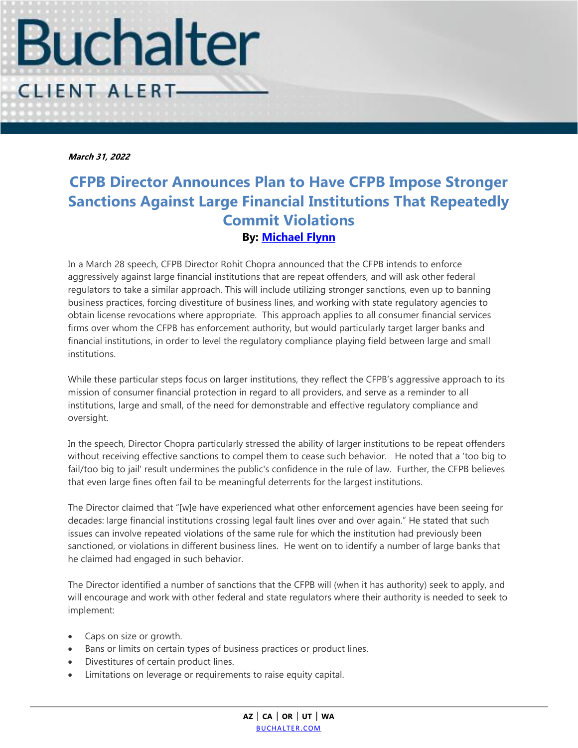

**March 31, 2022**

## **CFPB Director Announces Plan to Have CFPB Impose Stronger Sanctions Against Large Financial Institutions That Repeatedly Commit Violations By: [Michael](https://www.buchalter.com/attorneys/melissa-richards/#bio) Flynn**

In a March 28 speech, CFPB Director Rohit Chopra announced that the CFPB intends to enforce aggressively against large financial institutions that are repeat offenders, and will ask other federal regulators to take a similar approach. This will include utilizing stronger sanctions, even up to banning business practices, forcing divestiture of business lines, and working with state regulatory agencies to obtain license revocations where appropriate. This approach applies to all consumer financial services firms over whom the CFPB has enforcement authority, but would particularly target larger banks and financial institutions, in order to level the regulatory compliance playing field between large and small institutions.

While these particular steps focus on larger institutions, they reflect the CFPB's aggressive approach to its mission of consumer financial protection in regard to all providers, and serve as a reminder to all institutions, large and small, of the need for demonstrable and effective regulatory compliance and oversight.

In the speech, Director Chopra particularly stressed the ability of larger institutions to be repeat offenders without receiving effective sanctions to compel them to cease such behavior. He noted that a 'too big to fail/too big to jail' result undermines the public's confidence in the rule of law. Further, the CFPB believes that even large fines often fail to be meaningful deterrents for the largest institutions.

The Director claimed that "[w]e have experienced what other enforcement agencies have been seeing for decades: large financial institutions crossing legal fault lines over and over again." He stated that such issues can involve repeated violations of the same rule for which the institution had previously been sanctioned, or violations in different business lines. He went on to identify a number of large banks that he claimed had engaged in such behavior.

The Director identified a number of sanctions that the CFPB will (when it has authority) seek to apply, and will encourage and work with other federal and state regulators where their authority is needed to seek to implement:

- Caps on size or growth.
- Bans or limits on certain types of business practices or product lines.
- Divestitures of certain product lines.
- Limitations on leverage or requirements to raise equity capital.